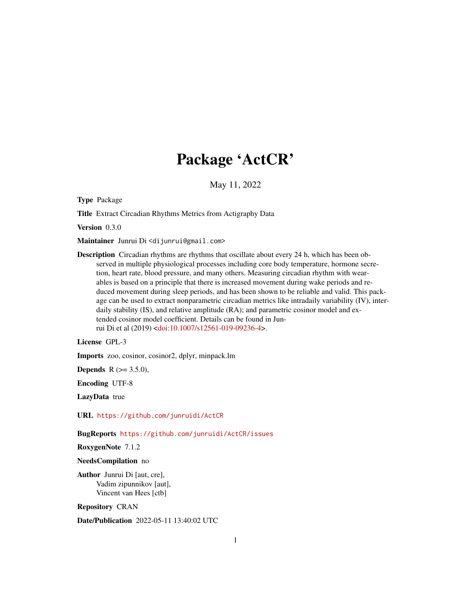# Package 'ActCR'

May 11, 2022

Type Package

Title Extract Circadian Rhythms Metrics from Actigraphy Data

Version 0.3.0

Maintainer Junrui Di <dijunrui@gmail.com>

Description Circadian rhythms are rhythms that oscillate about every 24 h, which has been observed in multiple physiological processes including core body temperature, hormone secretion, heart rate, blood pressure, and many others. Measuring circadian rhythm with wearables is based on a principle that there is increased movement during wake periods and reduced movement during sleep periods, and has been shown to be reliable and valid. This package can be used to extract nonparametric circadian metrics like intradaily variability (IV), interdaily stability (IS), and relative amplitude (RA); and parametric cosinor model and extended cosinor model coefficient. Details can be found in Junrui Di et al (2019) [<doi:10.1007/s12561-019-09236-4>](https://doi.org/10.1007/s12561-019-09236-4).

License GPL-3

Imports zoo, cosinor, cosinor2, dplyr, minpack.lm

**Depends** R  $(>= 3.5.0)$ ,

Encoding UTF-8

LazyData true

URL <https://github.com/junruidi/ActCR>

BugReports <https://github.com/junruidi/ActCR/issues>

RoxygenNote 7.1.2

NeedsCompilation no

Author Junrui Di [aut, cre], Vadim zipunnikov [aut], Vincent van Hees [ctb]

Repository CRAN

Date/Publication 2022-05-11 13:40:02 UTC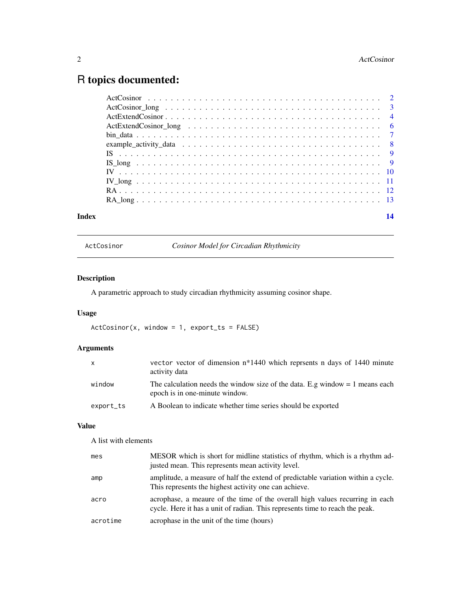## <span id="page-1-0"></span>R topics documented:

| Index | 14 |
|-------|----|
|       |    |
|       |    |
|       |    |
|       |    |
|       |    |
|       |    |
|       |    |
|       |    |
|       |    |
|       |    |
|       |    |
|       |    |

ActCosinor *Cosinor Model for Circadian Rhythmicity*

### Description

A parametric approach to study circadian rhythmicity assuming cosinor shape.

### Usage

 $ActCosinor(x, window = 1, export_ts = FALSE)$ 

### Arguments

| X         | vector vector of dimension $n*1440$ which represents n days of 1440 minute<br>activity data                      |
|-----------|------------------------------------------------------------------------------------------------------------------|
| window    | The calculation needs the window size of the data. E.g window $= 1$ means each<br>epoch is in one-minute window. |
| export_ts | A Boolean to indicate whether time series should be exported                                                     |

#### Value

A list with elements

| mes      | MESOR which is short for midline statistics of rhythm, which is a rhythm ad-<br>justed mean. This represents mean activity level.                            |
|----------|--------------------------------------------------------------------------------------------------------------------------------------------------------------|
| amp      | amplitude, a measure of half the extend of predictable variation within a cycle.<br>This represents the highest activity one can achieve.                    |
| acro     | acrophase, a meaure of the time of the overall high values recurring in each<br>cycle. Here it has a unit of radian. This represents time to reach the peak. |
| acrotime | acrophase in the unit of the time (hours)                                                                                                                    |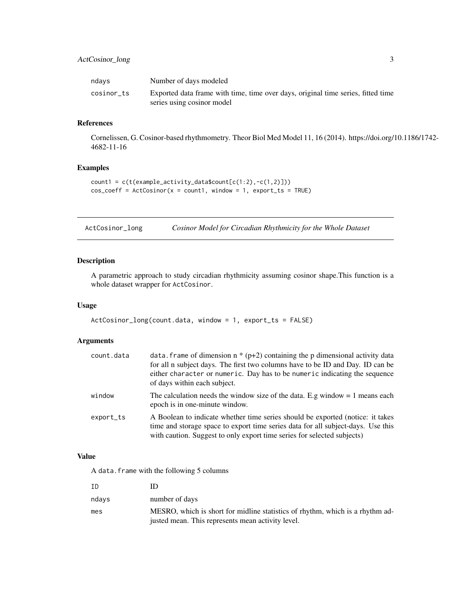#### <span id="page-2-0"></span>ActCosinor\_long 3

| ndays      | Number of days modeled                                                           |
|------------|----------------------------------------------------------------------------------|
| cosinor ts | Exported data frame with time, time over days, original time series, fitted time |
|            | series using cosinor model                                                       |

#### References

Cornelissen, G. Cosinor-based rhythmometry. Theor Biol Med Model 11, 16 (2014). https://doi.org/10.1186/1742- 4682-11-16

#### Examples

```
count1 = c(t(example_activity_data$count[c(1:2),-c(1,2)]))
cos\_coeff = ActCosinor(x = count1, window = 1, export\_ts = TRUE)
```
ActCosinor\_long *Cosinor Model for Circadian Rhythmicity for the Whole Dataset*

#### Description

A parametric approach to study circadian rhythmicity assuming cosinor shape.This function is a whole dataset wrapper for ActCosinor.

#### Usage

```
ActCosinor_long(count.data, window = 1, export_ts = FALSE)
```
#### Arguments

| count.data | data. frame of dimension $n * (p+2)$ containing the p dimensional activity data<br>for all n subject days. The first two columns have to be ID and Day. ID can be<br>either character or numeric. Day has to be numeric indicating the sequence<br>of days within each subject. |
|------------|---------------------------------------------------------------------------------------------------------------------------------------------------------------------------------------------------------------------------------------------------------------------------------|
| window     | The calculation needs the window size of the data. E.g window $= 1$ means each<br>epoch is in one-minute window.                                                                                                                                                                |
| export_ts  | A Boolean to indicate whether time series should be exported (notice: it takes<br>time and storage space to export time series data for all subject-days. Use this<br>with caution. Suggest to only export time series for selected subjects)                                   |

#### Value

A data.frame with the following 5 columns

| ΙD    |                                                                               |
|-------|-------------------------------------------------------------------------------|
| ndavs | number of days                                                                |
| mes   | MESRO, which is short for midline statistics of rhythm, which is a rhythm ad- |
|       | justed mean. This represents mean activity level.                             |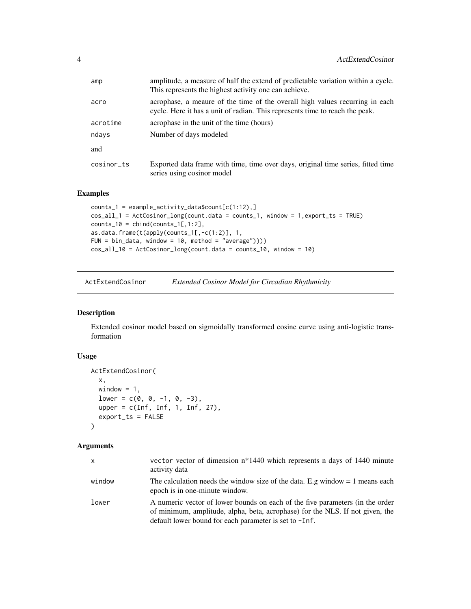<span id="page-3-0"></span>

| amp        | amplitude, a measure of half the extend of predictable variation within a cycle.<br>This represents the highest activity one can achieve.                    |
|------------|--------------------------------------------------------------------------------------------------------------------------------------------------------------|
| acro       | acrophase, a meaure of the time of the overall high values recurring in each<br>cycle. Here it has a unit of radian. This represents time to reach the peak. |
| acrotime   | acrophase in the unit of the time (hours)                                                                                                                    |
| ndays      | Number of days modeled                                                                                                                                       |
| and        |                                                                                                                                                              |
| cosinor ts | Exported data frame with time, time over days, original time series, fitted time<br>series using cosinor model                                               |

#### Examples

```
counts_1 = example_activity_data$count[c(1:12),]
cos_all_1 = ActCosinor_long(count.data = counts_1, window = 1,export_ts = TRUE)
counts_10 = child(counts_1[,1:2],as.data.frame(t(apply(counts_1[,-c(1:2)], 1,
FUN = bin_data, window = 10, method = "average"))))
cos_all_10 = ActCosinor_long(count.data = counts_10, window = 10)
```
ActExtendCosinor *Extended Cosinor Model for Circadian Rhythmicity*

#### Description

Extended cosinor model based on sigmoidally transformed cosine curve using anti-logistic transformation

#### Usage

```
ActExtendCosinor(
 x,
 window = 1,
 lower = c(0, 0, -1, 0, -3),upper = c(Inf, Inf, 1, Inf, 27),
 export_ts = FALSE
)
```
#### Arguments

| x      | vector vector of dimension n <sup>*1440</sup> which represents n days of 1440 minute<br>activity data                                                                                                                    |
|--------|--------------------------------------------------------------------------------------------------------------------------------------------------------------------------------------------------------------------------|
| window | The calculation needs the window size of the data. E.g window $= 1$ means each<br>epoch is in one-minute window.                                                                                                         |
| lower  | A numeric vector of lower bounds on each of the five parameters (in the order<br>of minimum, amplitude, alpha, beta, acrophase) for the NLS. If not given, the<br>default lower bound for each parameter is set to -Inf. |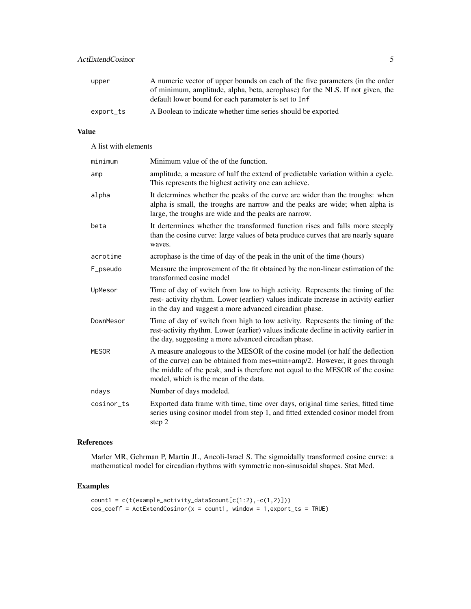#### ActExtendCosinor 5

| upper     | A numeric vector of upper bounds on each of the five parameters (in the order                                                         |
|-----------|---------------------------------------------------------------------------------------------------------------------------------------|
|           | of minimum, amplitude, alpha, beta, acrophase) for the NLS. If not given, the<br>default lower bound for each parameter is set to Inf |
| export_ts | A Boolean to indicate whether time series should be exported                                                                          |

#### Value

A list with elements

| minimum      | Minimum value of the of the function.                                                                                                                                                                                                                                                |
|--------------|--------------------------------------------------------------------------------------------------------------------------------------------------------------------------------------------------------------------------------------------------------------------------------------|
| amp          | amplitude, a measure of half the extend of predictable variation within a cycle.<br>This represents the highest activity one can achieve.                                                                                                                                            |
| alpha        | It determines whether the peaks of the curve are wider than the troughs: when<br>alpha is small, the troughs are narrow and the peaks are wide; when alpha is<br>large, the troughs are wide and the peaks are narrow.                                                               |
| beta         | It dertermines whether the transformed function rises and falls more steeply<br>than the cosine curve: large values of beta produce curves that are nearly square<br>waves.                                                                                                          |
| acrotime     | acrophase is the time of day of the peak in the unit of the time (hours)                                                                                                                                                                                                             |
| F_pseudo     | Measure the improvement of the fit obtained by the non-linear estimation of the<br>transformed cosine model                                                                                                                                                                          |
| UpMesor      | Time of day of switch from low to high activity. Represents the timing of the<br>rest-activity rhythm. Lower (earlier) values indicate increase in activity earlier<br>in the day and suggest a more advanced circadian phase.                                                       |
| DownMesor    | Time of day of switch from high to low activity. Represents the timing of the<br>rest-activity rhythm. Lower (earlier) values indicate decline in activity earlier in<br>the day, suggesting a more advanced circadian phase.                                                        |
| <b>MESOR</b> | A measure analogous to the MESOR of the cosine model (or half the deflection<br>of the curve) can be obtained from mes=min+amp/2. However, it goes through<br>the middle of the peak, and is therefore not equal to the MESOR of the cosine<br>model, which is the mean of the data. |
| ndays        | Number of days modeled.                                                                                                                                                                                                                                                              |
| cosinor ts   | Exported data frame with time, time over days, original time series, fitted time<br>series using cosinor model from step 1, and fitted extended cosinor model from<br>step 2                                                                                                         |

#### References

Marler MR, Gehrman P, Martin JL, Ancoli-Israel S. The sigmoidally transformed cosine curve: a mathematical model for circadian rhythms with symmetric non-sinusoidal shapes. Stat Med.

```
count1 = c(t(example_activity_data$count[c(1:2),-c(1,2)]))
cos\_coeff = ActExtendCosinor(x = count1, window = 1, export\_ts = TRUE)
```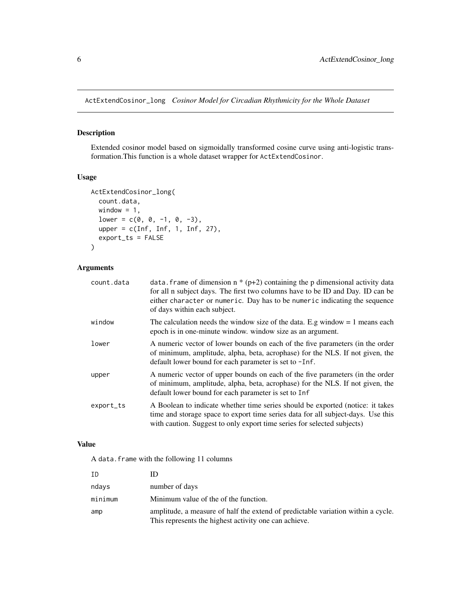<span id="page-5-0"></span>ActExtendCosinor\_long *Cosinor Model for Circadian Rhythmicity for the Whole Dataset*

#### Description

Extended cosinor model based on sigmoidally transformed cosine curve using anti-logistic transformation.This function is a whole dataset wrapper for ActExtendCosinor.

### Usage

```
ActExtendCosinor_long(
 count.data,
 window = 1,
 lower = c(0, 0, -1, 0, -3),upper = c(Inf, Inf, 1, Inf, 27),
 export_ts = FALSE
)
```
#### Arguments

| count.data | data. frame of dimension $n * (p+2)$ containing the p dimensional activity data<br>for all n subject days. The first two columns have to be ID and Day. ID can be<br>either character or numeric. Day has to be numeric indicating the sequence<br>of days within each subject. |
|------------|---------------------------------------------------------------------------------------------------------------------------------------------------------------------------------------------------------------------------------------------------------------------------------|
| window     | The calculation needs the window size of the data. E.g window $= 1$ means each<br>epoch is in one-minute window, window size as an argument.                                                                                                                                    |
| lower      | A numeric vector of lower bounds on each of the five parameters (in the order<br>of minimum, amplitude, alpha, beta, acrophase) for the NLS. If not given, the<br>default lower bound for each parameter is set to -Inf.                                                        |
| upper      | A numeric vector of upper bounds on each of the five parameters (in the order<br>of minimum, amplitude, alpha, beta, acrophase) for the NLS. If not given, the<br>default lower bound for each parameter is set to Inf                                                          |
| export_ts  | A Boolean to indicate whether time series should be exported (notice: it takes<br>time and storage space to export time series data for all subject-days. Use this<br>with caution. Suggest to only export time series for selected subjects)                                   |

### Value

A data.frame with the following 11 columns

| ID      |                                                                                                                                           |
|---------|-------------------------------------------------------------------------------------------------------------------------------------------|
| ndays   | number of days                                                                                                                            |
| minimum | Minimum value of the of the function.                                                                                                     |
| amp     | amplitude, a measure of half the extend of predictable variation within a cycle.<br>This represents the highest activity one can achieve. |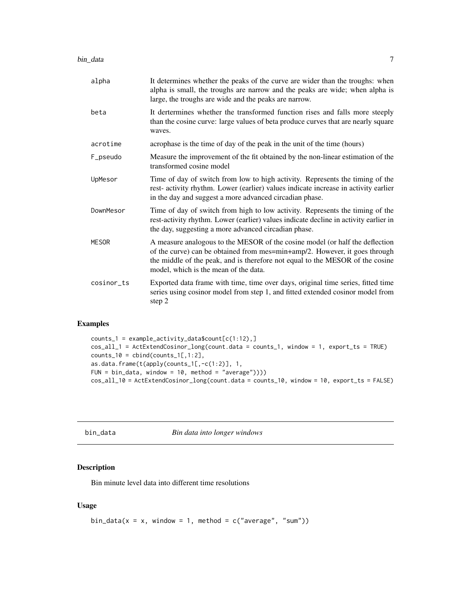<span id="page-6-0"></span>

| alpha        | It determines whether the peaks of the curve are wider than the troughs: when<br>alpha is small, the troughs are narrow and the peaks are wide; when alpha is<br>large, the troughs are wide and the peaks are narrow.                                                               |
|--------------|--------------------------------------------------------------------------------------------------------------------------------------------------------------------------------------------------------------------------------------------------------------------------------------|
| beta         | It dertermines whether the transformed function rises and falls more steeply<br>than the cosine curve: large values of beta produce curves that are nearly square<br>waves.                                                                                                          |
| acrotime     | acrophase is the time of day of the peak in the unit of the time (hours)                                                                                                                                                                                                             |
| F_pseudo     | Measure the improvement of the fit obtained by the non-linear estimation of the<br>transformed cosine model                                                                                                                                                                          |
| UpMesor      | Time of day of switch from low to high activity. Represents the timing of the<br>rest-activity rhythm. Lower (earlier) values indicate increase in activity earlier<br>in the day and suggest a more advanced circadian phase.                                                       |
| DownMesor    | Time of day of switch from high to low activity. Represents the timing of the<br>rest-activity rhythm. Lower (earlier) values indicate decline in activity earlier in<br>the day, suggesting a more advanced circadian phase.                                                        |
| <b>MESOR</b> | A measure analogous to the MESOR of the cosine model (or half the deflection<br>of the curve) can be obtained from mes=min+amp/2. However, it goes through<br>the middle of the peak, and is therefore not equal to the MESOR of the cosine<br>model, which is the mean of the data. |
| cosinor_ts   | Exported data frame with time, time over days, original time series, fitted time<br>series using cosinor model from step 1, and fitted extended cosinor model from<br>step 2                                                                                                         |

#### Examples

```
counts_1 = example_activity_data$count[c(1:12),]
cos_all_1 = ActExtendCosinor_long(count.data = counts_1, window = 1, export_ts = TRUE)
counts_10 = child(counts_1[,1:2],as.data.frame(t(apply(counts_1[,-c(1:2)], 1,
FUN = bin\_data, window = 10, method = "average"))))
cos_all_10 = ActExtendCosinor_long(count.data = counts_10, window = 10, export_ts = FALSE)
```
bin\_data *Bin data into longer windows*

#### Description

Bin minute level data into different time resolutions

#### Usage

```
bin_data(x = x, window = 1, method = c("average", "sum"))
```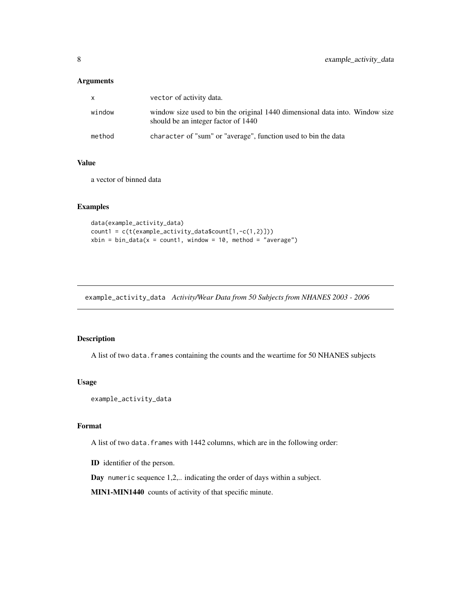#### <span id="page-7-0"></span>Arguments

| X      | vector of activity data.                                                                                            |
|--------|---------------------------------------------------------------------------------------------------------------------|
| window | window size used to bin the original 1440 dimensional data into. Window size<br>should be an integer factor of 1440 |
| method | character of "sum" or "average", function used to bin the data                                                      |

#### Value

a vector of binned data

#### Examples

```
data(example_activity_data)
count1 = c(t(example_activity_data$count[1,-c(1,2)]))
xbin = bin_data(x = count1, window = 10, method = "average")
```
example\_activity\_data *Activity/Wear Data from 50 Subjects from NHANES 2003 - 2006*

### Description

A list of two data.frames containing the counts and the weartime for 50 NHANES subjects

#### Usage

```
example_activity_data
```
#### Format

A list of two data.frames with 1442 columns, which are in the following order:

ID identifier of the person.

Day numeric sequence 1,2,.. indicating the order of days within a subject.

MIN1-MIN1440 counts of activity of that specific minute.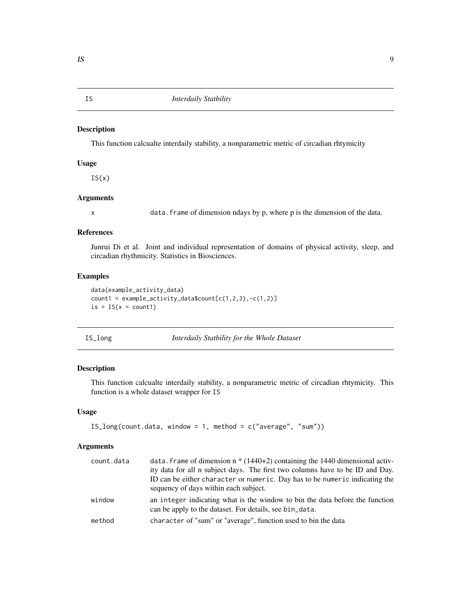<span id="page-8-0"></span>

This function calcualte interdaily stability, a nonparametric metric of circadian rhtymicity

#### Usage

 $IS(x)$ 

#### Arguments

x data.frame of dimension ndays by p, where p is the dimension of the data.

#### References

Junrui Di et al. Joint and individual representation of domains of physical activity, sleep, and circadian rhythmicity. Statistics in Biosciences.

#### Examples

```
data(example_activity_data)
count1 = example_activity_data$count[c(1,2,3), -c(1,2)]is = IS(x = count1)
```

|  | ۱r |
|--|----|
|--|----|

Interdaily Statbility for the Whole Dataset

#### Description

This function calcualte interdaily stability, a nonparametric metric of circadian rhtymicity. This function is a whole dataset wrapper for IS

#### Usage

```
IS_long(count.data, window = 1, method = c("average", "sum"))
```
#### Arguments

| count.data | data. frame of dimension $n * (1440+2)$ containing the 1440 dimensional activ-<br>ity data for all n subject days. The first two columns have to be ID and Day.<br>ID can be either character or numeric. Day has to be numeric indicating the<br>sequency of days within each subject. |
|------------|-----------------------------------------------------------------------------------------------------------------------------------------------------------------------------------------------------------------------------------------------------------------------------------------|
| window     | an integer indicating what is the window to bin the data before the function<br>can be apply to the dataset. For details, see bin_data.                                                                                                                                                 |
| method     | character of "sum" or "average", function used to bin the data                                                                                                                                                                                                                          |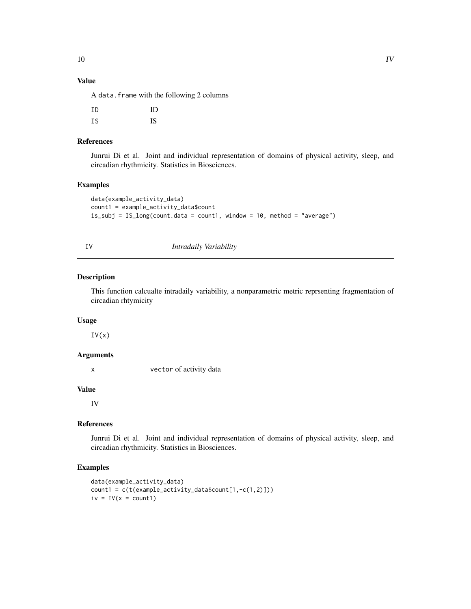#### Value

A data.frame with the following 2 columns

| ΙD | ID |
|----|----|
| IS | IS |

#### References

Junrui Di et al. Joint and individual representation of domains of physical activity, sleep, and circadian rhythmicity. Statistics in Biosciences.

#### Examples

```
data(example_activity_data)
count1 = example_activity_data$count
is_subj = IS_long(count.data = count1, window = 10, method = "average")
```
#### IV *Intradaily Variability*

#### Description

This function calcualte intradaily variability, a nonparametric metric reprsenting fragmentation of circadian rhtymicity

#### Usage

 $IV(x)$ 

#### Arguments

x vector of activity data

#### Value

IV

#### References

Junrui Di et al. Joint and individual representation of domains of physical activity, sleep, and circadian rhythmicity. Statistics in Biosciences.

```
data(example_activity_data)
count1 = c(t(example_activity_data$count[1,-c(1,2)]))
iv = IV(x = count1)
```
<span id="page-9-0"></span>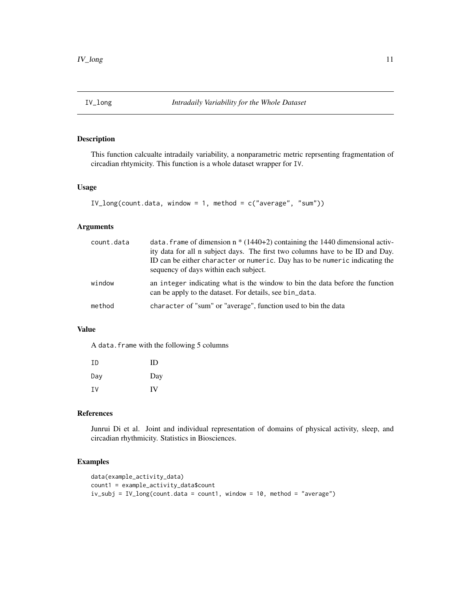<span id="page-10-0"></span>

This function calcualte intradaily variability, a nonparametric metric reprsenting fragmentation of circadian rhtymicity. This function is a whole dataset wrapper for IV.

#### Usage

```
IV_long(count.data, window = 1, method = c("average", "sum"))
```
#### Arguments

| count.data | data. frame of dimension $n * (1440+2)$ containing the 1440 dimensional activ-<br>ity data for all n subject days. The first two columns have to be ID and Day.<br>ID can be either character or numeric. Day has to be numeric indicating the<br>sequency of days within each subject. |
|------------|-----------------------------------------------------------------------------------------------------------------------------------------------------------------------------------------------------------------------------------------------------------------------------------------|
| window     | an integer indicating what is the window to bin the data before the function<br>can be apply to the dataset. For details, see bin_data.                                                                                                                                                 |
| method     | character of "sum" or "average", function used to bin the data                                                                                                                                                                                                                          |

### Value

A data.frame with the following 5 columns

| TD. | ID  |
|-----|-----|
| Day | Day |
| ΙV  | IV  |

#### References

Junrui Di et al. Joint and individual representation of domains of physical activity, sleep, and circadian rhythmicity. Statistics in Biosciences.

```
data(example_activity_data)
count1 = example_activity_data$count
iv_subj = IV_long(count.data = count1, window = 10, method = "average")
```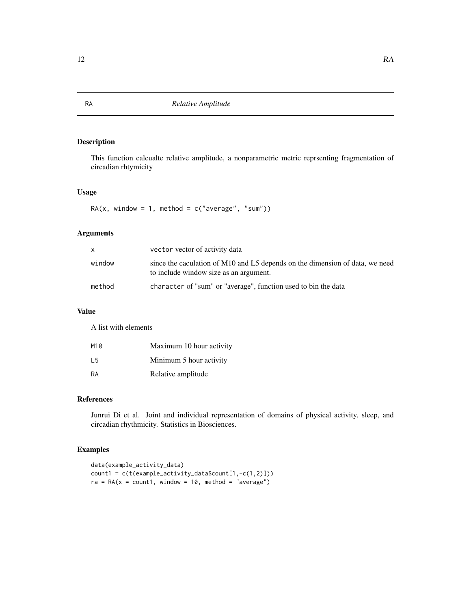<span id="page-11-0"></span>This function calcualte relative amplitude, a nonparametric metric reprsenting fragmentation of circadian rhtymicity

#### Usage

 $RA(x, window = 1, method = c("average", "sum")$ 

#### Arguments

| X.     | vector vector of activity data                                                                                         |
|--------|------------------------------------------------------------------------------------------------------------------------|
| window | since the caculation of M10 and L5 depends on the dimension of data, we need<br>to include window size as an argument. |
| method | character of "sum" or "average", function used to bin the data                                                         |

#### Value

A list with elements

| M10 | Maximum 10 hour activity |
|-----|--------------------------|
| I 5 | Minimum 5 hour activity  |
| RA  | Relative amplitude       |

#### References

Junrui Di et al. Joint and individual representation of domains of physical activity, sleep, and circadian rhythmicity. Statistics in Biosciences.

```
data(example_activity_data)
count1 = c(t(example_activity_data$count[1,-c(1,2)]))
ra = RA(x = count1, window = 10, method = "average")
```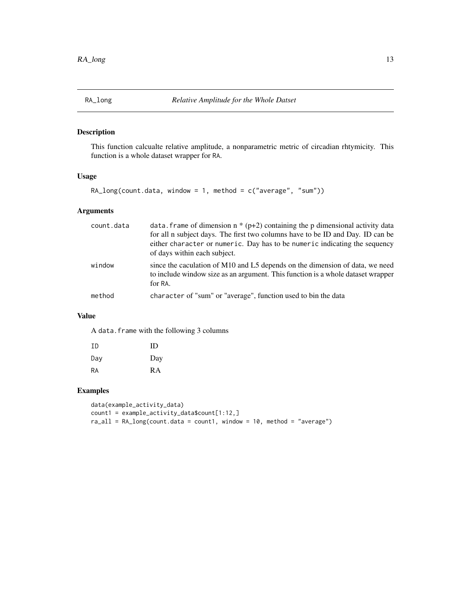<span id="page-12-0"></span>

This function calcualte relative amplitude, a nonparametric metric of circadian rhtymicity. This function is a whole dataset wrapper for RA.

#### Usage

RA\_long(count.data, window = 1, method = c("average", "sum"))

#### Arguments

| count.data | data. Frame of dimension $n * (p+2)$ containing the p dimensional activity data<br>for all n subject days. The first two columns have to be ID and Day. ID can be<br>either character or numeric. Day has to be numeric indicating the sequency<br>of days within each subject. |
|------------|---------------------------------------------------------------------------------------------------------------------------------------------------------------------------------------------------------------------------------------------------------------------------------|
| window     | since the caculation of M10 and L5 depends on the dimension of data, we need<br>to include window size as an argument. This function is a whole dataset wrapper<br>for RA.                                                                                                      |
| method     | character of "sum" or "average", function used to bin the data                                                                                                                                                                                                                  |

#### Value

A data.frame with the following 3 columns

| ΙD  | ID  |
|-----|-----|
| Day | Day |
| RA  | RA  |

```
data(example_activity_data)
count1 = example_activity_data$count[1:12,]
ra\_all = RA\_long(count.data = count1, window = 10, method = "average")
```